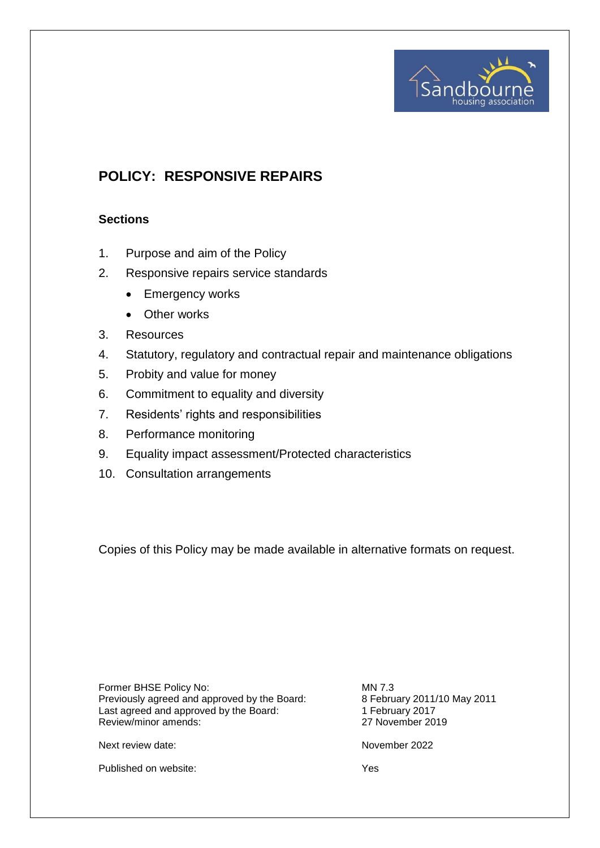

# **POLICY: RESPONSIVE REPAIRS**

## **Sections**

- 1. Purpose and aim of the Policy
- 2. Responsive repairs service standards
	- Emergency works
	- Other works
- 3. Resources
- 4. Statutory, regulatory and contractual repair and maintenance obligations
- 5. Probity and value for money
- 6. Commitment to equality and diversity
- 7. Residents' rights and responsibilities
- 8. Performance monitoring
- 9. Equality impact assessment/Protected characteristics
- 10. Consultation arrangements

Copies of this Policy may be made available in alternative formats on request.

Former BHSE Policy No: MN 7.3<br>Previously agreed and approved by the Board: 8 February 2011/10 May 2011 Previously agreed and approved by the Board: 8 February 2011/<br>
Last agreed and approved by the Board: 1 February 2017 Last agreed and approved by the Board: 1 February 2017<br>Review/minor amends: 27 November 2019 Review/minor amends:

Next review date: November 2022

Published on website:  $Y$ es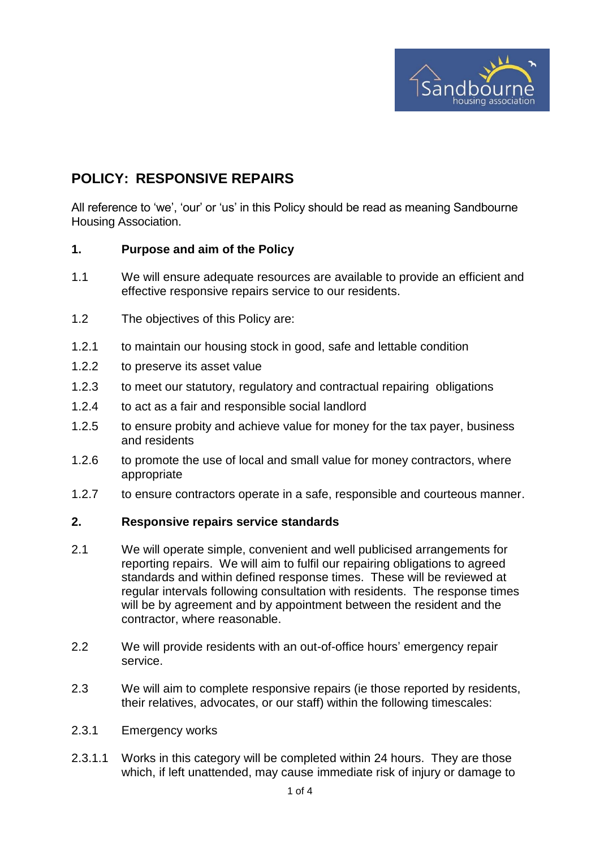

# **POLICY: RESPONSIVE REPAIRS**

All reference to 'we', 'our' or 'us' in this Policy should be read as meaning Sandbourne Housing Association.

#### **1. Purpose and aim of the Policy**

- 1.1 We will ensure adequate resources are available to provide an efficient and effective responsive repairs service to our residents.
- 1.2 The objectives of this Policy are:
- 1.2.1 to maintain our housing stock in good, safe and lettable condition
- 1.2.2 to preserve its asset value
- 1.2.3 to meet our statutory, regulatory and contractual repairing obligations
- 1.2.4 to act as a fair and responsible social landlord
- 1.2.5 to ensure probity and achieve value for money for the tax payer, business and residents
- 1.2.6 to promote the use of local and small value for money contractors, where appropriate
- 1.2.7 to ensure contractors operate in a safe, responsible and courteous manner.

#### **2. Responsive repairs service standards**

- 2.1 We will operate simple, convenient and well publicised arrangements for reporting repairs. We will aim to fulfil our repairing obligations to agreed standards and within defined response times. These will be reviewed at regular intervals following consultation with residents. The response times will be by agreement and by appointment between the resident and the contractor, where reasonable.
- 2.2 We will provide residents with an out-of-office hours' emergency repair service.
- 2.3 We will aim to complete responsive repairs (ie those reported by residents, their relatives, advocates, or our staff) within the following timescales:
- 2.3.1 Emergency works
- 2.3.1.1 Works in this category will be completed within 24 hours. They are those which, if left unattended, may cause immediate risk of injury or damage to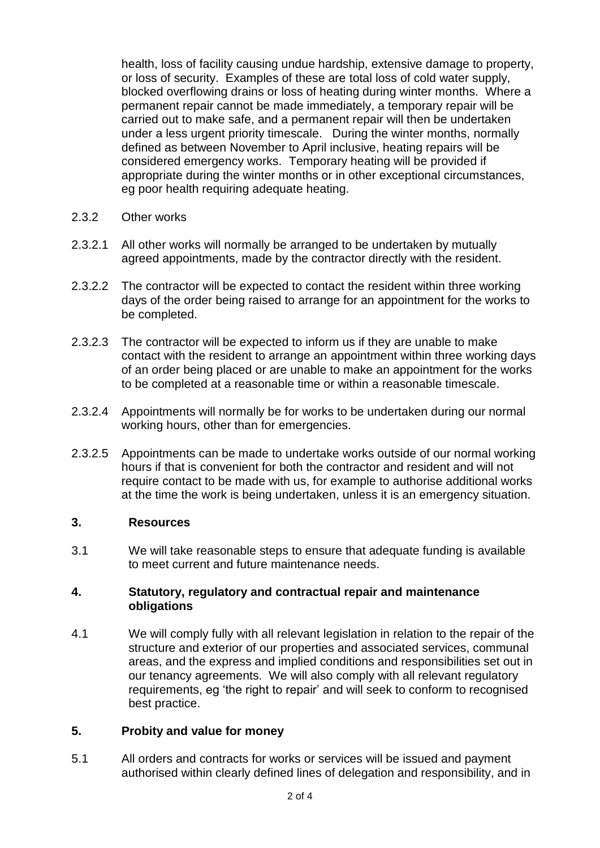health, loss of facility causing undue hardship, extensive damage to property, or loss of security. Examples of these are total loss of cold water supply, blocked overflowing drains or loss of heating during winter months. Where a permanent repair cannot be made immediately, a temporary repair will be carried out to make safe, and a permanent repair will then be undertaken under a less urgent priority timescale. During the winter months, normally defined as between November to April inclusive, heating repairs will be considered emergency works. Temporary heating will be provided if appropriate during the winter months or in other exceptional circumstances, eg poor health requiring adequate heating.

- 2.3.2 Other works
- 2.3.2.1 All other works will normally be arranged to be undertaken by mutually agreed appointments, made by the contractor directly with the resident.
- 2.3.2.2 The contractor will be expected to contact the resident within three working days of the order being raised to arrange for an appointment for the works to be completed.
- 2.3.2.3 The contractor will be expected to inform us if they are unable to make contact with the resident to arrange an appointment within three working days of an order being placed or are unable to make an appointment for the works to be completed at a reasonable time or within a reasonable timescale.
- 2.3.2.4 Appointments will normally be for works to be undertaken during our normal working hours, other than for emergencies.
- 2.3.2.5 Appointments can be made to undertake works outside of our normal working hours if that is convenient for both the contractor and resident and will not require contact to be made with us, for example to authorise additional works at the time the work is being undertaken, unless it is an emergency situation.

## **3. Resources**

3.1 We will take reasonable steps to ensure that adequate funding is available to meet current and future maintenance needs.

### **4. Statutory, regulatory and contractual repair and maintenance obligations**

4.1 We will comply fully with all relevant legislation in relation to the repair of the structure and exterior of our properties and associated services, communal areas, and the express and implied conditions and responsibilities set out in our tenancy agreements. We will also comply with all relevant regulatory requirements, eg 'the right to repair' and will seek to conform to recognised best practice.

#### **5. Probity and value for money**

5.1 All orders and contracts for works or services will be issued and payment authorised within clearly defined lines of delegation and responsibility, and in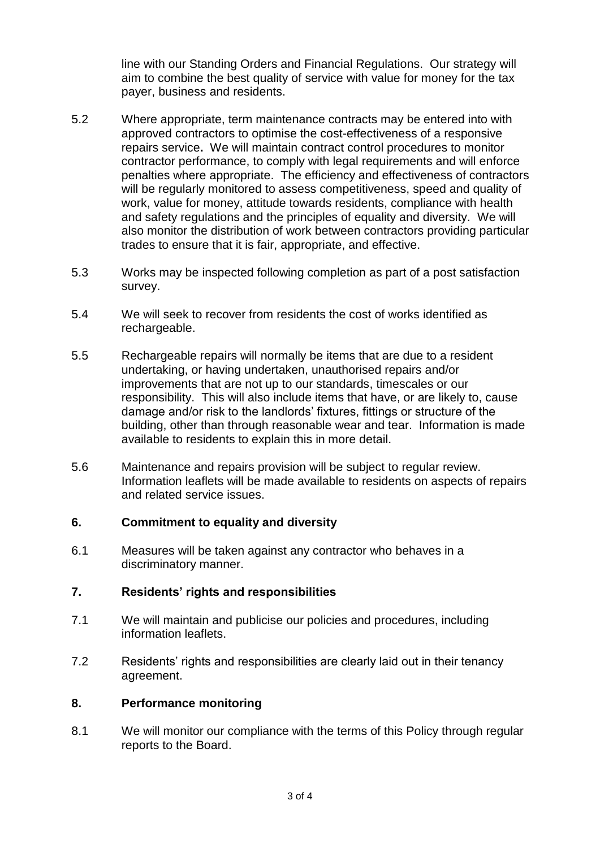line with our Standing Orders and Financial Regulations. Our strategy will aim to combine the best quality of service with value for money for the tax payer, business and residents.

- 5.2 Where appropriate, term maintenance contracts may be entered into with approved contractors to optimise the cost-effectiveness of a responsive repairs service**.** We will maintain contract control procedures to monitor contractor performance, to comply with legal requirements and will enforce penalties where appropriate. The efficiency and effectiveness of contractors will be regularly monitored to assess competitiveness, speed and quality of work, value for money, attitude towards residents, compliance with health and safety regulations and the principles of equality and diversity. We will also monitor the distribution of work between contractors providing particular trades to ensure that it is fair, appropriate, and effective.
- 5.3 Works may be inspected following completion as part of a post satisfaction survey.
- 5.4 We will seek to recover from residents the cost of works identified as rechargeable.
- 5.5 Rechargeable repairs will normally be items that are due to a resident undertaking, or having undertaken, unauthorised repairs and/or improvements that are not up to our standards, timescales or our responsibility. This will also include items that have, or are likely to, cause damage and/or risk to the landlords' fixtures, fittings or structure of the building, other than through reasonable wear and tear. Information is made available to residents to explain this in more detail.
- 5.6 Maintenance and repairs provision will be subject to regular review. Information leaflets will be made available to residents on aspects of repairs and related service issues.

#### **6. Commitment to equality and diversity**

6.1 Measures will be taken against any contractor who behaves in a discriminatory manner.

### **7. Residents' rights and responsibilities**

- 7.1 We will maintain and publicise our policies and procedures, including information leaflets.
- 7.2 Residents' rights and responsibilities are clearly laid out in their tenancy agreement.

#### **8. Performance monitoring**

8.1 We will monitor our compliance with the terms of this Policy through regular reports to the Board.